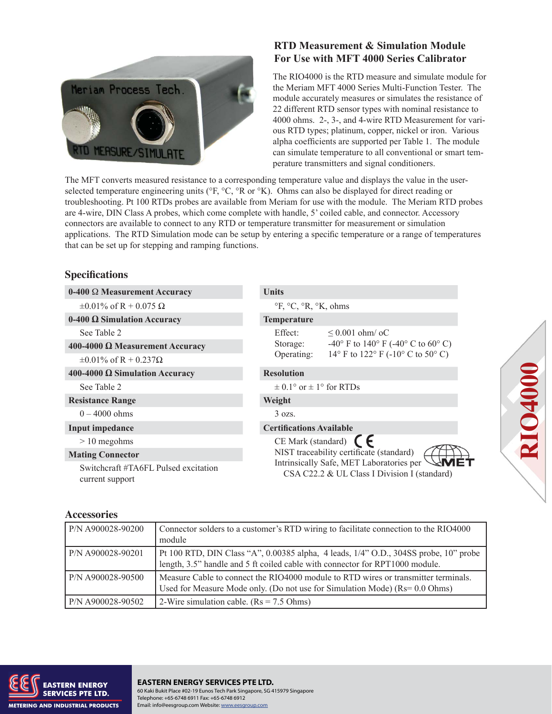

# **RTD Measurement & Simulation Module For Use with MFT 4000 Series Calibrator**

The RIO4000 is the RTD measure and simulate module for the Meriam MFT 4000 Series Multi-Function Tester. The module accurately measures or simulates the resistance of 22 different RTD sensor types with nominal resistance to 4000 ohms. 2-, 3-, and 4-wire RTD Measurement for various RTD types; platinum, copper, nickel or iron. Various alpha coefficients are supported per Table 1. The module can simulate temperature to all conventional or smart temperature transmitters and signal conditioners.

The MFT converts measured resistance to a corresponding temperature value and displays the value in the userselected temperature engineering units (°F, °C, °R or °K). Ohms can also be displayed for direct reading or troubleshooting. Pt 100 RTDs probes are available from Meriam for use with the module. The Meriam RTD probes are 4-wire, DIN Class A probes, which come complete with handle, 5' coiled cable, and connector. Accessory connectors are available to connect to any RTD or temperature transmitter for measurement or simulation applications. The RTD Simulation mode can be setup by entering a specific temperature or a range of temperatures that can be set up for stepping and ramping functions.

# **Specifications**

| $0-400 \Omega$ Measurement Accuracy                     | <b>Units</b>                                                                             |  |  |
|---------------------------------------------------------|------------------------------------------------------------------------------------------|--|--|
| $\pm 0.01\%$ of R + 0.075 $\Omega$                      | $\mathrm{P}F, \mathrm{P}C, \mathrm{P}R, \mathrm{P}K, \mathrm{ohms}$                      |  |  |
| $0-400 \Omega$ Simulation Accuracy                      | Temperature                                                                              |  |  |
| See Table 2                                             | Effect:<br>$\leq 0.001$ ohm/ oC                                                          |  |  |
| 400-4000 Ω Measurement Accuracy                         | -40° F to 140° F (-40° C to 60° C)<br>Storage:                                           |  |  |
| $\pm 0.01\%$ of R + 0.237 $\Omega$                      | 14° F to 122° F (-10° C to 50° C)<br>Operating:                                          |  |  |
| 400-4000 Ω Simulation Accuracy                          | <b>Resolution</b>                                                                        |  |  |
| See Table 2                                             | $\pm$ 0.1° or $\pm$ 1° for RTDs                                                          |  |  |
| <b>Resistance Range</b>                                 | Weight                                                                                   |  |  |
| $0 - 4000$ ohms                                         | $3$ ozs.                                                                                 |  |  |
| Input impedance                                         | <b>Certifications Available</b>                                                          |  |  |
| $> 10$ megohms                                          | CE Mark (standard) $\bigcap$                                                             |  |  |
| <b>Mating Connector</b>                                 | NIST traceability certificate (standard)                                                 |  |  |
| Switchcraft #TA6FL Pulsed excitation<br>current support | Intrinsically Safe, MET Laboratories per<br>CSA C22.2 & UL Class I Division I (standard) |  |  |

## **Accessories**

| P/N A900028-90200 | Connector solders to a customer's RTD wiring to facilitate connection to the RIO4000<br>module                                                                               |
|-------------------|------------------------------------------------------------------------------------------------------------------------------------------------------------------------------|
| P/N A900028-90201 | Pt 100 RTD, DIN Class "A", 0.00385 alpha, 4 leads, 1/4" O.D., 304SS probe, 10" probe<br>length, 3.5" handle and 5 ft coiled cable with connector for RPT1000 module.         |
| P/N A900028-90500 | Measure Cable to connect the RIO4000 module to RTD wires or transmitter terminals.<br>Used for Measure Mode only. (Do not use for Simulation Mode) $(Rs = 0.0 \text{ Ohms})$ |
| P/N A900028-90502 | 2-Wire simulation cable. $(Rs = 7.5 \text{ Ohms})$                                                                                                                           |



 $\mathsf{pore}\nolimits$ **EASTERN ENERGY SERVICES PTE LTD.** 60 Kaki Bukit Place #02-19 Eunos Tech Park Singapore, SG 415979 Singapore Telephone: +65-6748 6911 Fax: +65-6748 6912 Email: info@eesgroup.com Website: www.eesgroup.com